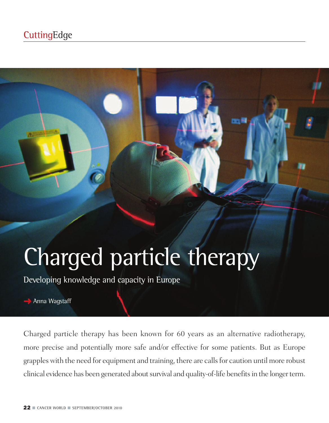## **CuttingEdge**

# Charged particle therapy

Developing knowledge and capacity in Europe



Charged particle therapy has been known for 60 years as an alternative radiotherapy, more precise and potentially more safe and/or effective for some patients. But as Europe grappleswith the need for equipment and training, there are callsfor caution until more robust clinical evidence has been generated about survival and quality-of-life benefits in the longer term.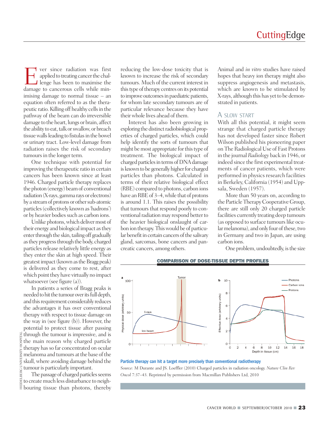Ever since radiation was first applied to treating cancer the challenge has been to maximise the damage to cancerous cells while minimising damage to normal tissue – an equation often referred to as the therapeutic ratio.Killing off healthy cellsin the pathway of the beam can do irreversible damage to the heart, lungs or brain, affect the ability to eat, talk or swallow, or breach tissue walls leading to fistulas in the bowel or urinary tract. Low-level damage from radiation raises the risk of secondary tumours in the longer term.

One technique with potential for improving the therapeutic ratio in certain cancers has been known since at least 1946. Charged particle therapy replaces the photon (energy) beamof conventional radiation(X-rays, gamma rays or electrons) by a stream of protons or other sub-atomic particles(collectively known as'hadrons') or by heavier bodies such as carbon ions.

Unlike photons, which deliver most of their energy and biological impact asthey enter through the skin, tailing off gradually asthey progressthrough the body, charged particles release relatively little energy as they enter the skin at high speed. Their greatest impact (known as the Bragg peak) is delivered as they come to rest, after which point they have virtually no impact whatsoever (see figure (a)).

In patients a series of Bragg peaks is needed to hit the tumour over its full depth, and this requirement considerably reduces the advantages it has over conventional therapy with respect to tissue damage on the way in (see figure (b)). However, the potential to protect tissue after passing through the tumour is impressive, and is the main reason why charged particle therapy has so far concentrated on ocular melanoma and tumours at the base of the skull, where avoiding damage behind the tumour is particularly important.

The passage of charged particles seems to createmuch less disturbance to neighbouring tissue than photons, thereby HEIDELBERG UNIVERSITY HOSPITAL

reducing the low-dose toxicity that is known to increase the risk of secondary tumours. Much of the current interest in this type of therapy centres on its potential to improve outcomes in paediatric patients, for whom late secondary tumours are of particular relevance because they have theirwhole lives ahead of them.

Interest has also been growing in exploring the distinct radiobiological properties of charged particles, which could help identify the sorts of tumours that might be most appropriate for this type of treatment. The biological impact of charged particles in terms of DNA damage is known to be generally higher for charged particles than photons. Calculated in terms of their relative biological effect (RBE) compared to photons, carbon ions have an RBE of 3-4, while that of protons is around 1.1. This raises the possibility that tumours that respond poorly to conventional radiation may respond better to the heavier biological onslaught of carbon ion therapy.Thiswould be of particular benefit in certain cancers of the salivary gland, sarcomas, bone cancers and pancreatic cancers, among others.

Animal and *in vitro* studies have raised hopes that heavy ion therapy might also suppress angiogenesis and metastasis, which are known to be stimulated by X-rays, although this has yet to be demonstrated in patients.

#### A SLOW START

With all this potential, it might seem strange that charged particle therapy has not developed faster since Robert Wilson published his pioneering paper on The Radiological Use of Fast Protons in the journal *Radiology* back in 1946, or indeed since the first experimental treatments of cancer patients, which were performed in physics research facilities in Berkeley, California (1954) and Uppsala, Sweden (1957).

More than 50 years on, according to the Particle Therapy Cooperative Group, there are still only 20 charged particle facilities currently treating deep tumours (as opposed to surface tumours like ocular melanoma), and only four of these, two in Germany and two in Japan, are using carbon ions.

One problem, undoubtedly, is the size



#### Particle therapy can hit a target more precisely than conventional radiotherapy

*Source:* M Durante and JS. Loeffler (2010) Charged particles in radiation oncology. *Nature Clin Rev Oncol* 7:37–43. Reprinted by permission from Macmillan Publishers Ltd, 2010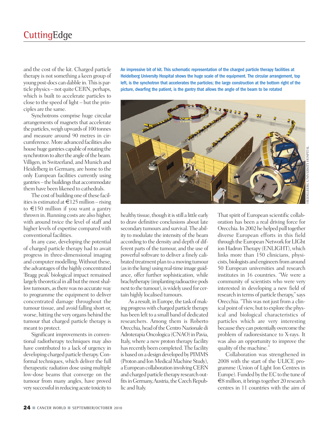and the cost of the kit. Charged particle therapy is not something a keen group of young post-docs can dabble in.Thisis particle physics – not quite CERN, perhaps, which is built to accelerate particles to close to the speed of light – but the principles are the same.

Synchotrons comprise huge circular arrangements of magnets that accelerate the particles, weigh upwards of 100 tonnes and measure around 90 metres in circumference. More advanced facilities also house huge gantries capable of rotating the synchrotron to alter the angle of the beam. Villigen, in Switzerland, and Munich and Heidelberg in Germany, are home to the only European facilities currently using gantries–thebuildingsthat accommodate them have been likened to cathedrals.

The cost of building one of these facilities is estimated at  $\text{£}125$  million – rising to €150 million if you want a gantry thrown in. Running costs are also higher, with around twice the level of staff and higher levels of expertise compared with conventional facilities.

In any case, developing the potential of charged particle therapy had to await progress in three-dimensional imaging and computer modelling. Without these, the advantages of the highly concentrated 'Bragg peak' biological impact remained largely theoretical in all but the most shallow tumours, as there was no accurate way to programme the equipment to deliver concentrated damage throughout the tumour tissue, and avoid falling short or, worse, hitting the very organs behind the tumour that charged particle therapy is meant to protect.

Significant improvements in conventional radiotherapy techniques may also have contributed to a lack of urgency in developing charged particle therapy.Conformal techniques, which deliver the full therapeutic radiation dose using multiple low-dose beams that converge on the tumour from many angles, have proved very successful in reducing acute toxicity to An impressive bit of kit. This schematic representation of the charged particle therapy facilities at Heidelberg University Hospital shows the huge scale of the equipment. The circular arrangement, top left, is the synchotron that accelerates the particles; the large construction at the bottom right of the picture, dwarfing the patient, is the gantry that allows the angle of the beam to be rotated



healthy tissue, though it is still a little early to draw definitive conclusions about late secondary tumours and survival.The ability to modulate the intensity of the beam according to the density and depth of different parts of the tumour, and the use of powerful software to deliver a finely calibrated treatment plan to amoving tumour (as in the lung) using real-time image guidance, offer further sophistication, while brachytherapy (implanting radioactive pods next to the tumour), is widely used for certain highly localised tumours.

As a result, in Europe, the task of making progresswith charged particle therapy has been left to a small band of dedicated researchers. Among them is Roberto Orecchia, head of the Centro Nazionale di Adroterapia Oncologica (CNAO) in Pavia, Italy, where a new proton therapy facility has recently been completed. The facility is based on a design developed by PIMMS (Proton and Ion Medical Machine Study), a European collaboration involving CERN and charged particle therapy research outfits in Germany, Austria, the Czech Republic and Italy.

That spirit of European scientific collaboration has been a real driving force for Orecchia. In 2002 he helped pull together diverse European efforts in this field through the European Network for LIGht ion Hadron Therapy (ENLIGHT), which links more than 150 clinicians, physicists, biologists and engineers from around 50 European universities and research institutes in 16 countries. "We were a community of scientists who were very interested in developing a new field of research in terms of particle therapy,"says Orecchia. "This was not just from a clinical point of view, but to explore the physical and biological characteristics of particles which are very interesting because they can potentially overcome the problem of radioresistance to X-rays. It was also an opportunity to improve the quality of the machine."

Collaboration was strengthened in 2008 with the start of the ULICE programme (Union of Light Ion Centres in Europe). Funded by the EC to the tune of  $€8$  million, it brings together 20 research centres in 11 countries with the aim of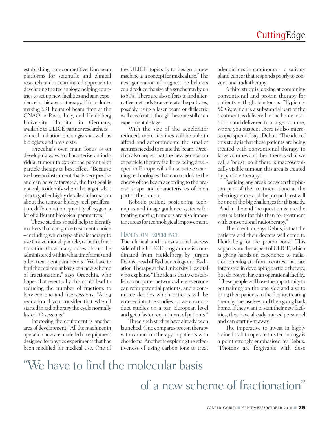establishing non-competitive European platforms for scientific and clinical research and a coordinated approach to developing the technology, helping countries to set up new facilities and gain experience in this area of therapy. This includes making 691 hours of beam time at the CNAO in Pavia, Italy, and Heidelberg University Hospital in Germany, available to ULICE partner researchers – clinical radiation oncologists as well as biologists and physicists.

Orecchia's own main focus is on developing ways to characterise an individual tumour to exploit the potential of particle therapy to best effect. "Because we have an instrument that is very precise and can be very targeted, the first goal is not only to identify where the target is but also to gather highly detailed information about the tumour biology: cell proliferation, differentiation, quantity of oxygen, a lot of different biological parameters."

These studies should help to identify markers that can guide treatment choice – includingwhich type ofradiotherapy to use (conventional, particle, or both), fractionation (how many doses should be administered within what timeframe) and other treatment parameters. "We have to find themolecular basis of a newscheme of fractionation," says Orecchia, who hopes that eventually this could lead to reducing the number of fractions to between one and five sessions, "A big reduction if you consider that when I started in radiotherapy the cycle normally lasted 40 sessions."

Improving the equipment is another area of development. "All the machines in operation now are modelled on equipment designed for physics experiments that has been modified for medical use. One of

the ULICE topics is to design a new machine as a concept for medical use." The next generation of magnets he believes could reduce the size of a synchotron by up to 50%. There are also efforts to find alternative methods to accelerate the particles, possibly using a laser beam or dielectric wall accelerator, though these are still at an experimental stage.

With the size of the accelerator reduced, more facilities will be able to afford and accommodate the smaller gantries needed to rotate the beam. Orecchia also hopes that the new generation of particle therapy facilities being developed in Europe will all use active scanning technologies that can modulate the energy of the beam according to the precise shape and characteristics of each part of the tumour.

Robotic patient positioning techniques and image guidance systems for treating moving tumours are also important areas for technological improvement.

#### HANDS-ON EXPERIENCE

The clinical and transnational access side of the ULICE programme is coordinated from Heidelberg by Jürgen Debus, head of Radiooncology and Radiation Therapy at the University Hospital who explains, "The idea is that we establish a computer network where everyone can refer potential patients, and a committee decides which patients will be entered into the studies, so we can conduct studies on a pan European level and get a faster recruitment of patients."

Three such studies have already been launched. One compares proton therapy with carbon ion therapy in patients with chordoma. Another is exploring the effectiveness of using carbon ions to treat

adenoid cystic carcinoma – a salivary gland cancer that responds poorly to conventional radiotherapy.

A third study is looking at combining conventional and proton therapy for patients with glioblastomas. "Typically 50 Gy, which is a substantial part of the treatment, is delivered in the home institution and delivered to a larger volume, where you suspect there is also microscopic spread,"says Debus. "The idea of this study is that these patients are being treated with conventional therapy to large volumes and then there is what we call a 'boost', so if there is macroscopically visible tumour, this area is treated by particle therapy."

Avoiding any break between the photon part of the treatment done at the referring centre and the proton boostwill be one of the big challenges for this study. "And in the end the question is: are the results better for this than for treatment with conventional radiotherapy."

The intention, says Debus, is that the patients and their doctors will come to Heidelberg for the 'proton boost'. This supports another aspect of ULICE, which is giving hands-on experience to radiation oncologists from centres that are interested in developing particle therapy, but do not yet have an operational facility. "These peoplewill have the opportunity to get training on the one side and also to bring their patients to the facility, treating them by themselves and then going back home. If they want to start their new facilities, they have already trained personnel and can start right away."

The imperative to invest in highly trained staff to operate this technology is a point strongly emphasised by Debus. "Photons are forgivable with dose

# "We have to find the molecular basis of a new scheme of fractionation"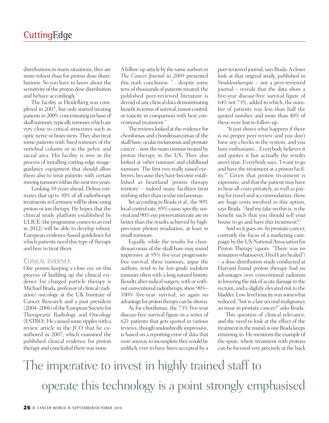distributions in many situations, they are more robust than for proton dose distributions. So you have to know about the sensitivity of the proton dose distribution and behave accordingly."

The facility at Heidelberg was completed in 2007, but only started treating patients in 2009, concentrating on base of skull tumours, typically tumours which are very close to critical structures such as optic nerve or brain stem. They also treat some patients with 'fixed tumours' of the vertebral column or in the pelvic and sacral area. His facility is now in the process of installing cutting-edge imageguidance equipment that should allow them also to treat patients with certain moving tumours within the next two years.

Looking 10 years ahead, Debus estimates that up to 30% of all radiotherapy treatments in Germany will be done using proton or ion therapy. He hopes that the clinical study platform established by ULICE (the programme comes to an end in 2012) will be able to develop robust, European evidence-based guidelines for which patients need this type of therapy and how to treat them.

#### CLINICAL EVIDENCE

One person keeping a close eye on this process of building up the clinical evidence for charged particle therapy is Michael Brada, professor of clinical (radiation) oncology at the UK Institute of Cancer Research and a past president (2004–2006) of the European Society for Therapeutic Radiology and Oncology (ESTRO). He caused some ripples with a review article in the *JCO* that he coauthored in 2007, which examined the published clinical evidence for proton therapy and concluded there was none.

Afollow-up article by the same authorsin *The Cancer Journal* in 2009 presented this stark conclusion: "…despite some tens of thousands of patients treated, the published peer-reviewed literature is devoid of any clinical data demonstrating benefit in terms of survival, tumor control, or toxicity in comparison with best conventional treatment."

The reviews looked at the evidence for chordomas and chondrosarcomas of the skull base, ocular melanomas and prostate cancer – now the main tumour treated by proton therapy in the US. They also looked at 'other tumours' and childhood tumours. The first two really raised eyebrows, because they have become established as heartland 'proton therapy territory' – indeed many facilities treat nothing other than ocular melanomas.

Yet according to Brada et al., the 90% local control rate, 85% cause-specific survival and 90% eye preservation rate are no better than the results achieved by highprecision photon irradiation, at least in small tumours.

Equally, while the results for chondrosarcomas of the skull base may sound impressive at 95% five-year progressionfree survival, these tumours, argue the authors, tend to be low-grade indolent tumours often with a long natural history. Results after radical surgery, with or without conventional radiotherapy, show 90%– 100% five-year survival, so again no advantage for proton therapy can be shown.

As for chordomas, the 73% five-year disease-free survival figure in a series of 621 patients that gets quoted in various reviews, though undoubtedly impressive, is based on a reporting error of data that were anyway so incomplete theywould be unlikely ever to have been accepted by a

peer-reviewed journal, says Brada. A closer look at that original study, published in *Strahlentherapie* – not a peer-reviewed journal – reveals that the data show a five-year disease-free survival figure of 64% not 73%, added to which, the number of patients was less than half the quoted number, and more than 40% of these were lost to follow-up.

"It just shows what happens if there is no proper peer review and you don't have any checks in the system, and you have enthusiasts... Everybody believes it and quotes it but actually the results aren't true. Everybody says, 'I want to go and have the treatment at a proton facility.'" Given that proton treatment is expensive, and that the patient may have to bear all costs privately, as well as paying for travel and accommodation, there are huge costs involved in this option, says Brada. "And my take on this is: is the benefit such that you should sell your house to go and have this treatment?"

And so it goes on. In prostate cancer, currently the focus of a marketing campaign by the US National Association for Proton Therapy (quote: "There was no sensation whatsoever, I feel I am healed") – a dose distribution study conducted at Harvard found proton therapy had no advantages over conventional radiation in lowering the risk of acute damage to the rectum, and a slightly elevated risk to the bladder. Low-level toxicity was somewhat reduced, "but is a late second malignancy an issue in prostate cancer?" asks Brada.

This question of clinical relevance, and the need to look at the effect of the treatment in the round, is one Brada keeps returning to. He mentions the example of the spine, where treatment with protons can be focused very precisely at the back

The imperative to invest in highly trained staff to operate this technology is a point strongly emphasised